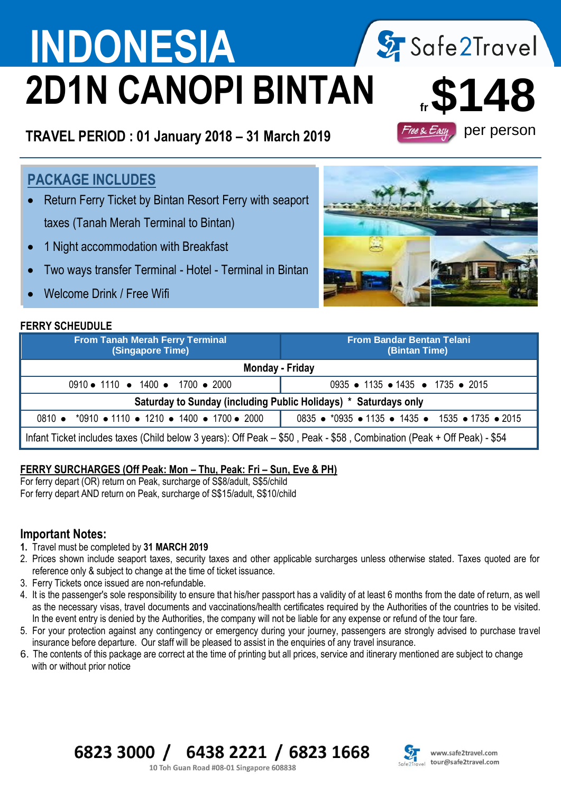# **INDONESIA** 2 Safe2Travel **2D1N CANOPI BINTAN**

**TRAVEL PERIOD : 01 January 2018 – 31 March 2019**

# **PACKAGE INCLUDES**

- Return Ferry Ticket by Bintan Resort Ferry with seaport taxes (Tanah Merah Terminal to Bintan)
- 1 Night accommodation with Breakfast
- Two ways transfer Terminal Hotel Terminal in Bintan
- Welcome Drink / Free Wifi

### **FERRY SCHEUDULE**

 $\overline{a}$ 

| LINNI JUILUDULL                                                                                                        |                                                   |  |  |  |  |  |
|------------------------------------------------------------------------------------------------------------------------|---------------------------------------------------|--|--|--|--|--|
| <b>From Tanah Merah Ferry Terminal</b><br>(Singapore Time)                                                             | <b>From Bandar Bentan Telani</b><br>(Bintan Time) |  |  |  |  |  |
| Monday - Friday                                                                                                        |                                                   |  |  |  |  |  |
| 0910 • 1110 • 1400 • 1700 • 2000                                                                                       | 0935 • 1135 • 1435 • 1735 • 2015                  |  |  |  |  |  |
| Saturday to Sunday (including Public Holidays) * Saturdays only                                                        |                                                   |  |  |  |  |  |
| 0810 • *0910 • 1110 • 1210 • 1400 • 1700 • 2000                                                                        | 0835 • *0935 • 1135 • 1435 • 1535 • 1735 • 2015   |  |  |  |  |  |
| Infant Ticket includes taxes (Child below 3 years): Off Peak – \$50, Peak - \$58, Combination (Peak + Off Peak) - \$54 |                                                   |  |  |  |  |  |

### **FERRY SURCHARGES (Off Peak: Mon - Thu, Peak: Fri - Sun, Eve & PH)**

For ferry depart (OR) return on Peak, surcharge of S\$8/adult, S\$5/child For ferry depart AND return on Peak, surcharge of S\$15/adult, S\$10/child

### **Important Notes:**

- **1.** Travel must be completed by **31 MARCH 2019**
- 2. Prices shown include seaport taxes, security taxes and other applicable surcharges unless otherwise stated. Taxes quoted are for reference only & subject to change at the time of ticket issuance.
- 3. Ferry Tickets once issued are non-refundable.
- 4. It is the passenger's sole responsibility to ensure that his/her passport has a validity of at least 6 months from the date of return, as well as the necessary visas, travel documents and vaccinations/health certificates required by the Authorities of the countries to be visited. In the event entry is denied by the Authorities, the company will not be liable for any expense or refund of the tour fare.
- 5. For your protection against any contingency or emergency during your journey, passengers are strongly advised to purchase travel insurance before departure. Our staff will be pleased to assist in the enquiries of any travel insurance.
- 6. The contents of this package are correct at the time of printing but all prices, service and itinerary mentioned are subject to change with or without prior notice

# 6823 3000 / 6438 2221 / 6823 1668



10 Toh Guan Road #08-01 Singapore 608838



**fr\$148** per person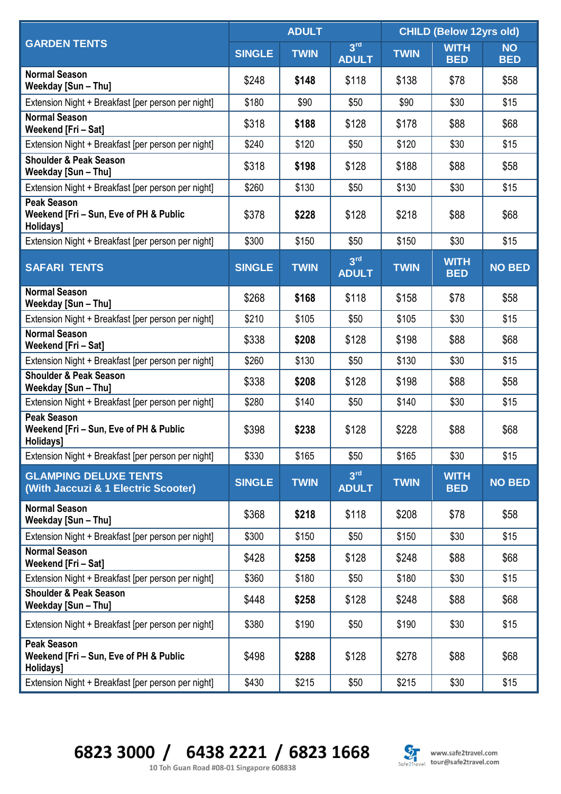|                                                                           | <b>ADULT</b>  |             |                                 | <b>CHILD (Below 12yrs old)</b> |                           |                         |
|---------------------------------------------------------------------------|---------------|-------------|---------------------------------|--------------------------------|---------------------------|-------------------------|
| <b>GARDEN TENTS</b>                                                       | <b>SINGLE</b> | <b>TWIN</b> | 3 <sup>rd</sup><br><b>ADULT</b> | <b>TWIN</b>                    | <b>WITH</b><br><b>BED</b> | <b>NO</b><br><b>BED</b> |
| <b>Normal Season</b><br>Weekday [Sun - Thu]                               | \$248         | \$148       | \$118                           | \$138                          | \$78                      | \$58                    |
| Extension Night + Breakfast [per person per night]                        | \$180         | \$90        | \$50                            | \$90                           | \$30                      | \$15                    |
| <b>Normal Season</b><br>Weekend [Fri - Sat]                               | \$318         | \$188       | \$128                           | \$178                          | \$88                      | \$68                    |
| Extension Night + Breakfast [per person per night]                        | \$240         | \$120       | \$50                            | \$120                          | \$30                      | \$15                    |
| <b>Shoulder &amp; Peak Season</b><br>Weekday [Sun - Thu]                  | \$318         | \$198       | \$128                           | \$188                          | \$88                      | \$58                    |
| Extension Night + Breakfast [per person per night]                        | \$260         | \$130       | \$50                            | \$130                          | \$30                      | \$15                    |
| <b>Peak Season</b><br>Weekend [Fri - Sun, Eve of PH & Public<br>Holidays] | \$378         | \$228       | \$128                           | \$218                          | \$88                      | \$68                    |
| Extension Night + Breakfast [per person per night]                        | \$300         | \$150       | \$50                            | \$150                          | \$30                      | \$15                    |
| <b>SAFARI TENTS</b>                                                       | <b>SINGLE</b> | <b>TWIN</b> | 3 <sup>rd</sup><br><b>ADULT</b> | <b>TWIN</b>                    | <b>WITH</b><br><b>BED</b> | <b>NO BED</b>           |
| <b>Normal Season</b><br>Weekday [Sun - Thu]                               | \$268         | \$168       | \$118                           | \$158                          | \$78                      | \$58                    |
| Extension Night + Breakfast [per person per night]                        | \$210         | \$105       | \$50                            | \$105                          | \$30                      | \$15                    |
| <b>Normal Season</b><br>Weekend [Fri - Sat]                               | \$338         | \$208       | \$128                           | \$198                          | \$88                      | \$68                    |
| Extension Night + Breakfast [per person per night]                        | \$260         | \$130       | \$50                            | \$130                          | \$30                      | \$15                    |
| <b>Shoulder &amp; Peak Season</b><br>Weekday [Sun - Thu]                  | \$338         | \$208       | \$128                           | \$198                          | \$88                      | \$58                    |
| Extension Night + Breakfast [per person per night]                        | \$280         | \$140       | \$50                            | \$140                          | \$30                      | \$15                    |
| <b>Peak Season</b><br>Weekend [Fri - Sun, Eve of PH & Public<br>Holidays] | \$398         | \$238       | \$128                           | \$228                          | \$88                      | \$68                    |
| Extension Night + Breakfast [per person per night]                        | \$330         | \$165       | \$50                            | \$165                          | \$30                      | \$15                    |
| <b>GLAMPING DELUXE TENTS</b><br>(With Jaccuzi & 1 Electric Scooter)       | <b>SINGLE</b> | <b>TWIN</b> | 3 <sup>rd</sup><br><b>ADULT</b> | <b>TWIN</b>                    | <b>WITH</b><br><b>BED</b> | <b>NO BED</b>           |
| <b>Normal Season</b><br>Weekday [Sun - Thu]                               | \$368         | \$218       | \$118                           | \$208                          | \$78                      | \$58                    |
| Extension Night + Breakfast [per person per night]                        | \$300         | \$150       | \$50                            | \$150                          | \$30                      | \$15                    |
| <b>Normal Season</b><br>Weekend [Fri - Sat]                               | \$428         | \$258       | \$128                           | \$248                          | \$88                      | \$68                    |
| Extension Night + Breakfast [per person per night]                        | \$360         | \$180       | \$50                            | \$180                          | \$30                      | \$15                    |
| <b>Shoulder &amp; Peak Season</b><br>Weekday [Sun - Thu]                  | \$448         | \$258       | \$128                           | \$248                          | \$88                      | \$68                    |
| Extension Night + Breakfast [per person per night]                        | \$380         | \$190       | \$50                            | \$190                          | \$30                      | \$15                    |
| <b>Peak Season</b><br>Weekend [Fri - Sun, Eve of PH & Public<br>Holidays] | \$498         | \$288       | \$128                           | \$278                          | \$88                      | \$68                    |
| Extension Night + Breakfast [per person per night]                        | \$430         | \$215       | \$50                            | \$215                          | \$30                      | \$15                    |

6823 3000 / 6438 2221 / 6823 1668



10 Toh Guan Road #08-01 Singapore 608838